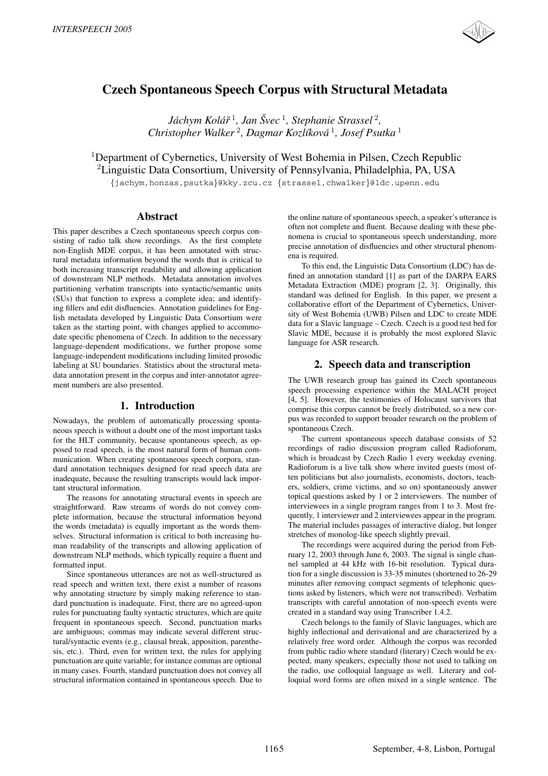

# **Czech Spontaneous Speech Corpus with Structural Metadata**

*Jáchym Kolář*<sup>1</sup>, Jan Švec<sup>1</sup>, Stephanie Strassel<sup>2</sup>, *Christopher Walker* <sup>2</sup>*, Dagmar Kozl´ıkova´* <sup>1</sup>*, Josef Psutka* <sup>1</sup>

<sup>1</sup>Department of Cybernetics, University of West Bohemia in Pilsen, Czech Republic <sup>2</sup>Linguistic Data Consortium, University of Pennsylvania, Philadelphia, PA, USA

{jachym,honzas,psutka}@kky.zcu.cz {strassel,chwalker}@ldc.upenn.edu

# **Abstract**

This paper describes a Czech spontaneous speech corpus consisting of radio talk show recordings. As the first complete non-English MDE corpus, it has been annotated with structural metadata information beyond the words that is critical to both increasing transcript readability and allowing application of downstream NLP methods. Metadata annotation involves partitioning verbatim transcripts into syntactic/semantic units (SUs) that function to express a complete idea; and identifying fillers and edit disfluencies. Annotation guidelines for English metadata developed by Linguistic Data Consortium were taken as the starting point, with changes applied to accommodate specific phenomena of Czech. In addition to the necessary language-dependent modifications, we further propose some language-independent modifications including limited prosodic labeling at SU boundaries. Statistics about the structural metadata annotation present in the corpus and inter-annotator agreement numbers are also presented.

# **1. Introduction**

Nowadays, the problem of automatically processing spontaneous speech is without a doubt one of the most important tasks for the HLT community, because spontaneous speech, as opposed to read speech, is the most natural form of human communication. When creating spontaneous speech corpora, standard annotation techniques designed for read speech data are inadequate, because the resulting transcripts would lack important structural information.

The reasons for annotating structural events in speech are straightforward. Raw streams of words do not convey complete information, because the structural information beyond the words (metadata) is equally important as the words themselves. Structural information is critical to both increasing human readability of the transcripts and allowing application of downstream NLP methods, which typically require a fluent and formatted input.

Since spontaneous utterances are not as well-structured as read speech and written text, there exist a number of reasons why annotating structure by simply making reference to standard punctuation is inadequate. First, there are no agreed-upon rules for punctuating faulty syntactic structures, which are quite frequent in spontaneous speech. Second, punctuation marks are ambiguous; commas may indicate several different structural/syntactic events (e.g., clausal break, apposition, parenthesis, etc.). Third, even for written text, the rules for applying punctuation are quite variable; for instance commas are optional in many cases. Fourth, standard punctuation does not convey all structural information contained in spontaneous speech. Due to

the online nature of spontaneous speech, a speaker's utterance is often not complete and fluent. Because dealing with these phenomena is crucial to spontaneous speech understanding, more precise annotation of disfluencies and other structural phenomena is required.

To this end, the Linguistic Data Consortium (LDC) has defined an annotation standard [1] as part of the DARPA EARS Metadata Extraction (MDE) program [2, 3]. Originally, this standard was defined for English. In this paper, we present a collaborative effort of the Department of Cybernetics, University of West Bohemia (UWB) Pilsen and LDC to create MDE data for a Slavic language – Czech. Czech is a good test bed for Slavic MDE, because it is probably the most explored Slavic language for ASR research.

# **2. Speech data and transcription**

The UWB research group has gained its Czech spontaneous speech processing experience within the MALACH project [4, 5]. However, the testimonies of Holocaust survivors that comprise this corpus cannot be freely distributed, so a new corpus was recorded to support broader research on the problem of spontaneous Czech.

The current spontaneous speech database consists of 52 recordings of radio discussion program called Radioforum, which is broadcast by Czech Radio 1 every weekday evening. Radioforum is a live talk show where invited guests (most often politicians but also journalists, economists, doctors, teachers, soldiers, crime victims, and so on) spontaneously answer topical questions asked by 1 or 2 interviewers. The number of interviewees in a single program ranges from 1 to 3. Most frequently, 1 interviewer and 2 interviewees appear in the program. The material includes passages of interactive dialog, but longer stretches of monolog-like speech slightly prevail.

The recordings were acquired during the period from February 12, 2003 through June 6, 2003. The signal is single channel sampled at 44 kHz with 16-bit resolution. Typical duration for a single discussion is 33-35 minutes (shortened to 26-29 minutes after removing compact segments of telephonic questions asked by listeners, which were not transcribed). Verbatim transcripts with careful annotation of non-speech events were created in a standard way using Transcriber 1.4.2.

Czech belongs to the family of Slavic languages, which are highly inflectional and derivational and are characterized by a relatively free word order. Although the corpus was recorded from public radio where standard (literary) Czech would be expected, many speakers, especially those not used to talking on the radio, use colloquial language as well. Literary and colloquial word forms are often mixed in a single sentence. The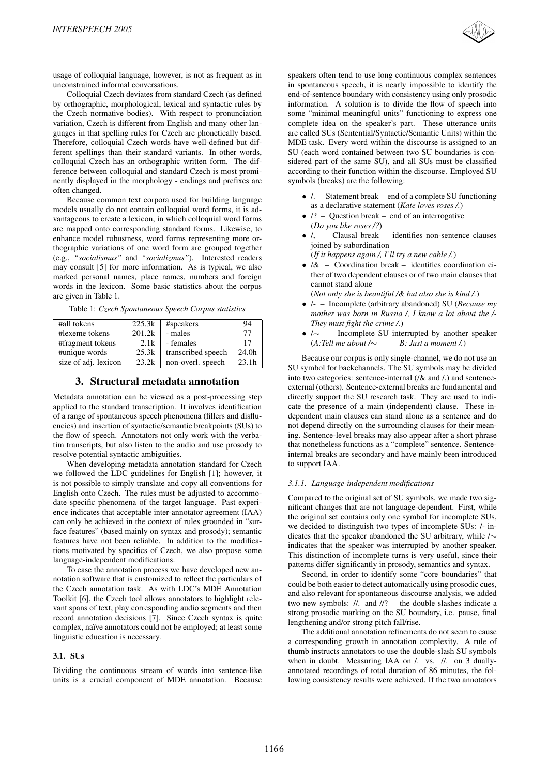

usage of colloquial language, however, is not as frequent as in unconstrained informal conversations.

Colloquial Czech deviates from standard Czech (as defined by orthographic, morphological, lexical and syntactic rules by the Czech normative bodies). With respect to pronunciation variation, Czech is different from English and many other languages in that spelling rules for Czech are phonetically based. Therefore, colloquial Czech words have well-defined but different spellings than their standard variants. In other words, colloquial Czech has an orthographic written form. The difference between colloquial and standard Czech is most prominently displayed in the morphology - endings and prefixes are often changed.

Because common text corpora used for building language models usually do not contain colloquial word forms, it is advantageous to create a lexicon, in which colloquial word forms are mapped onto corresponding standard forms. Likewise, to enhance model robustness, word forms representing more orthographic variations of one word form are grouped together (e.g., *"socialismus"* and *"socializmus"*). Interested readers may consult [5] for more information. As is typical, we also marked personal names, place names, numbers and foreign words in the lexicon. Some basic statistics about the corpus are given in Table 1.

Table 1: *Czech Spontaneous Speech Corpus statistics*

| #all tokens          | 225.3k | #speakers          | 94    |
|----------------------|--------|--------------------|-------|
| #lexeme tokens       | 201.2k | - males            | 77    |
| #fragment tokens     | 2.1k   | - females          | 17    |
| #unique words        | 25.3k  | transcribed speech | 24.0h |
| size of adj. lexicon | 23.2k  | non-overl. speech  | 23.1h |

# **3. Structural metadata annotation**

Metadata annotation can be viewed as a post-processing step applied to the standard transcription. It involves identification of a range of spontaneous speech phenomena (fillers and disfluencies) and insertion of syntactic/semantic breakpoints (SUs) to the flow of speech. Annotators not only work with the verbatim transcripts, but also listen to the audio and use prosody to resolve potential syntactic ambiguities.

When developing metadata annotation standard for Czech we followed the LDC guidelines for English [1]; however, it is not possible to simply translate and copy all conventions for English onto Czech. The rules must be adjusted to accommodate specific phenomena of the target language. Past experience indicates that acceptable inter-annotator agreement (IAA) can only be achieved in the context of rules grounded in "surface features" (based mainly on syntax and prosody); semantic features have not been reliable. In addition to the modifications motivated by specifics of Czech, we also propose some language-independent modifications.

To ease the annotation process we have developed new annotation software that is customized to reflect the particulars of the Czech annotation task. As with LDC's MDE Annotation Toolkit [6], the Czech tool allows annotators to highlight relevant spans of text, play corresponding audio segments and then record annotation decisions [7]. Since Czech syntax is quite complex, naïve annotators could not be employed; at least some linguistic education is necessary.

# **3.1. SUs**

Dividing the continuous stream of words into sentence-like units is a crucial component of MDE annotation. Because

speakers often tend to use long continuous complex sentences in spontaneous speech, it is nearly impossible to identify the end-of-sentence boundary with consistency using only prosodic information. A solution is to divide the flow of speech into some "minimal meaningful units" functioning to express one complete idea on the speaker's part. These utterance units are called SUs (Sentential/Syntactic/Semantic Units) within the MDE task. Every word within the discourse is assigned to an SU (each word contained between two SU boundaries is considered part of the same SU), and all SUs must be classified according to their function within the discourse. Employed SU symbols (breaks) are the following:

- /. Statement break end of a complete SU functioning as a declarative statement (*Kate loves roses /.*)
- $\sqrt{?}$  Question break end of an interrogative (*Do you like roses /?*)
- $\bullet$  /, Clausal break identifies non-sentence clauses joined by subordination
	- (*If it happens again /, I'll try a new cable /.*)
- /& Coordination break identifies coordination either of two dependent clauses or of two main clauses that cannot stand alone
	- (*Not only she is beautiful /& but also she is kind /.*)
- /- Incomplete (arbitrary abandoned) SU (*Because my mother was born in Russia /, I know a lot about the /- They must fight the crime /.*)
- $\sqrt{\sim}$  Incomplete SU interrupted by another speaker (*A:Tell me about /*∼ *B: Just a moment /.*)

Because our corpus is only single-channel, we do not use an SU symbol for backchannels. The SU symbols may be divided into two categories: sentence-internal  $(\frac{\delta x}{\delta x})$  and  $\delta x$ , and sentenceexternal (others). Sentence-external breaks are fundamental and directly support the SU research task. They are used to indicate the presence of a main (independent) clause. These independent main clauses can stand alone as a sentence and do not depend directly on the surrounding clauses for their meaning. Sentence-level breaks may also appear after a short phrase that nonetheless functions as a "complete" sentence. Sentenceinternal breaks are secondary and have mainly been introduced to support IAA.

### *3.1.1. Language-independent modifications*

Compared to the original set of SU symbols, we made two significant changes that are not language-dependent. First, while the original set contains only one symbol for incomplete SUs, we decided to distinguish two types of incomplete SUs: /- indicates that the speaker abandoned the SU arbitrary, while /∼ indicates that the speaker was interrupted by another speaker. This distinction of incomplete turns is very useful, since their patterns differ significantly in prosody, semantics and syntax.

Second, in order to identify some "core boundaries" that could be both easier to detect automatically using prosodic cues, and also relevant for spontaneous discourse analysis, we added two new symbols: //. and //? – the double slashes indicate a strong prosodic marking on the SU boundary, i.e. pause, final lengthening and/or strong pitch fall/rise.

The additional annotation refinements do not seem to cause a corresponding growth in annotation complexity. A rule of thumb instructs annotators to use the double-slash SU symbols when in doubt. Measuring IAA on /. vs. //. on 3 duallyannotated recordings of total duration of 86 minutes, the following consistency results were achieved. If the two annotators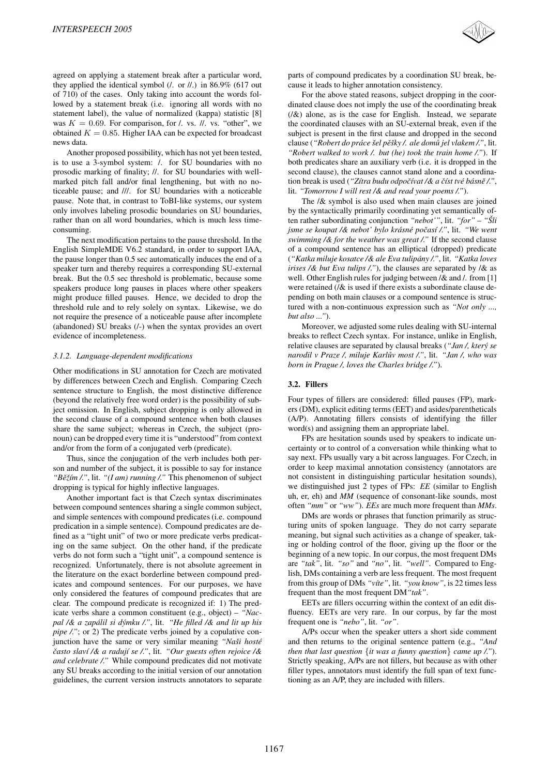agreed on applying a statement break after a particular word, they applied the identical symbol (/. or //.) in 86.9% (617 out of 710) of the cases. Only taking into account the words followed by a statement break (i.e. ignoring all words with no statement label), the value of normalized (kappa) statistic [8] was  $K = 0.69$ . For comparison, for  $\ell$ , vs.  $\ell$ , vs. "other", we obtained  $K = 0.85$ . Higher IAA can be expected for broadcast news data.

Another proposed possibility, which has not yet been tested, is to use a 3-symbol system: /. for SU boundaries with no prosodic marking of finality; //. for SU boundaries with wellmarked pitch fall and/or final lengthening, but with no noticeable pause; and ///. for SU boundaries with a noticeable pause. Note that, in contrast to ToBI-like systems, our system only involves labeling prosodic boundaries on SU boundaries, rather than on all word boundaries, which is much less timeconsuming.

The next modification pertains to the pause threshold. In the English SimpleMDE V6.2 standard, in order to support IAA, the pause longer than 0.5 sec automatically induces the end of a speaker turn and thereby requires a corresponding SU-external break. But the 0.5 sec threshold is problematic, because some speakers produce long pauses in places where other speakers might produce filled pauses. Hence, we decided to drop the threshold rule and to rely solely on syntax. Likewise, we do not require the presence of a noticeable pause after incomplete (abandoned) SU breaks (/-) when the syntax provides an overt evidence of incompleteness.

#### *3.1.2. Language-dependent modifications*

Other modifications in SU annotation for Czech are motivated by differences between Czech and English. Comparing Czech sentence structure to English, the most distinctive difference (beyond the relatively free word order) is the possibility of subject omission. In English, subject dropping is only allowed in the second clause of a compound sentence when both clauses share the same subject; whereas in Czech, the subject (pronoun) can be dropped every time it is "understood" from context and/or from the form of a conjugated verb (predicate).

Thus, since the conjugation of the verb includes both person and number of the subject, it is possible to say for instance *"Beˇzˇ´ım /."*, lit. *"(I am) running /."* This phenomenon of subject dropping is typical for highly inflective languages.

Another important fact is that Czech syntax discriminates between compound sentences sharing a single common subject, and simple sentences with compound predicates (i.e. compound predication in a simple sentence). Compound predicates are defined as a "tight unit" of two or more predicate verbs predicating on the same subject. On the other hand, if the predicate verbs do not form such a "tight unit", a compound sentence is recognized. Unfortunately, there is not absolute agreement in the literature on the exact borderline between compound predicates and compound sentences. For our purposes, we have only considered the features of compound predicates that are clear. The compound predicate is recognized if: 1) The predicate verbs share a common constituent (e.g., object) – *"Nacpal /& a zapalil si d ´ ymku /." ´* , lit. *"He filled /& and lit up his pipe /."*; or 2) The predicate verbs joined by a copulative conjunction have the same or very similar meaning *"Naši hosté casto slav ˇ ´ı /& a raduj´ı se /."*, lit. *"Our guests often rejoice /& and celebrate /."* While compound predicates did not motivate any SU breaks according to the initial version of our annotation guidelines, the current version instructs annotators to separate parts of compound predicates by a coordination SU break, because it leads to higher annotation consistency.

For the above stated reasons, subject dropping in the coordinated clause does not imply the use of the coordinating break  $(\sqrt{k})$  alone, as is the case for English. Instead, we separate the coordinated clauses with an SU-external break, even if the subject is present in the first clause and dropped in the second clause (*"Robert do prace ´ sel p ˇ eˇsky /. ale dom ˇ u jel vlakem /." ˚* , lit. *"Robert walked to work /. but (he) took the train home /."*). If both predicates share an auxiliary verb (i.e. it is dropped in the second clause), the clauses cannot stand alone and a coordination break is used ("Zítra budu odpočívat /& a číst tvé básně /.", lit. *"Tomorrow I will rest /& and read your poems /."*).

The /& symbol is also used when main clauses are joined by the syntactically primarily coordinating yet semantically often rather subordinating conjunction *"nebot'"*, lit. *"for"* – *"Sli ˇ jsme se koupat /& nebot' bylo krásné počasí /.", lit. "We went swimming /& for the weather was great /."* If the second clause of a compound sentence has an elliptical (dropped) predicate (*"Katka miluje kosatce /& ale Eva tulipany /." ´* , lit. *"Katka loves irises /& but Eva tulips /."*), the clauses are separated by /& as well. Other English rules for judging between / & and /. from [1] were retained  $\ell/\mathcal{X}$  is used if there exists a subordinate clause depending on both main clauses or a compound sentence is structured with a non-continuous expression such as *"Not only ..., but also ..."*).

Moreover, we adjusted some rules dealing with SU-internal breaks to reflect Czech syntax. For instance, unlike in English, relative clauses are separated by clausal breaks (*"Jan /, ktery se ´ narodil v Praze /, miluje Karluv most /." ˚* , lit. *"Jan /, who was born in Prague /, loves the Charles bridge /."*).

## **3.2. Fillers**

Four types of fillers are considered: filled pauses (FP), markers (DM), explicit editing terms (EET) and asides/parentheticals (A/P). Annotating fillers consists of identifying the filler word(s) and assigning them an appropriate label.

FPs are hesitation sounds used by speakers to indicate uncertainty or to control of a conversation while thinking what to say next. FPs usually vary a bit across languages. For Czech, in order to keep maximal annotation consistency (annotators are not consistent in distinguishing particular hesitation sounds), we distinguished just 2 types of FPs: *EE* (similar to English uh, er, eh) and *MM* (sequence of consonant-like sounds, most often *"mm"* or *"ww"*). *EEs* are much more frequent than *MMs*.

DMs are words or phrases that function primarily as structuring units of spoken language. They do not carry separate meaning, but signal such activities as a change of speaker, taking or holding control of the floor, giving up the floor or the beginning of a new topic. In our corpus, the most frequent DMs are *"tak"*, lit. *"so"* and *"no"*, lit. *"well"*. Compared to English, DMs containing a verb are less frequent. The most frequent from this group of DMs *"v´ıte"*, lit. *"you know"*, is 22 times less frequent than the most frequent DM*"tak"*.

EETs are fillers occurring within the context of an edit disfluency. EETs are very rare. In our corpus, by far the most frequent one is *"nebo"*, lit. *"or"*.

A/Ps occur when the speaker utters a short side comment and then returns to the original sentence pattern (e.g., *"And then that last question* {*it was a funny question*} *came up /."*). Strictly speaking, A/Ps are not fillers, but because as with other filler types, annotators must identify the full span of text functioning as an A/P, they are included with fillers.